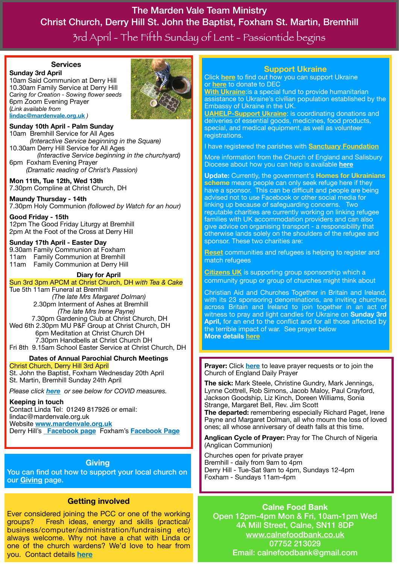The Marden Vale Team Ministry Christ Church, Derry Hill St. John the Baptist, Foxham St. Martin, Bremhill

3rd April - The Fifth Sunday of Lent - Passiontide begins

## **Services**

**Sunday 3rd April**  10am Said Communion at Derry Hill 10.30am Family Service at Derry Hill C*aring for Creation - Sowing flower seeds*  6pm Zoom Evening Prayer (*Link available from*  **[lindac@mardenvale.org.uk](mailto:lindac@mardenvale.org.uk)** *)*



# **Sunday 10th April - Palm Sunday**

10am Bremhill Service for All Ages *(Interactive Service beginning in the Square)*  10.30am Derry Hill Service for All Ages *(Interactive Service beginning in the churchyard)*  6pm Foxham Evening Prayer

*(Dramatic reading of Christ's Passion)* 

**Mon 11th, Tue 12th, Wed 13th**  7.30pm Compline at Christ Church, DH

**Maundy Thursday - 14th**  7.30pm Holy Communion *(followed by Watch for an hour)*

**Good Friday - 15th**  12pm The Good Friday Liturgy at Bremhill 2pm At the Foot of the Cross at Derry Hill

#### **Sunday 17th April - Easter Day**

9.30am Family Communion at Foxham 11am Family Communion at Bremhill 11am Family Communion at Derry Hill

#### **Diary for April**

Sun 3rd 3pm APCM at Christ Church, DH *with Tea & Cake*  Tue 5th 11am Funeral at Bremhill

 *(The late Mrs Margaret Dolman)*  2.30pm Interment of Ashes at Bremhill *(The late Mrs Irene Payne)* 7.30pm Gardening Club at Christ Church, DH Wed 6th 2.30pm MU P&F Group at Christ Church, DH 6pm Meditation at Christ Church DH 7.30pm Handbells at Christ Church DH Fri 8th 9.15am School Easter Service at Christ Church, DH

### **Dates of Annual Parochial Church Meetings**

Christ Church, Derry Hill 3rd April St. John the Baptist, Foxham Wednesday 20th April St. Martin, Bremhill Sunday 24th April

*Please click [here](https://www.mardenvale.org.uk/?page_id=5024) or see below for COVID measures.* 

**Keeping in touch** 

Contact Linda Tel: 01249 817926 or email: lindac@mardenvale.org.uk Website **[www.mardenvale.org.uk](http://www.mardenvale.org.uk)** Derry Hill's **[Facebook page](https://www.facebook.com/pg/christchurchdh/posts/)** Foxham's **[Facebook Page](https://www.facebook.com/stjohnfoxham)**

### **Giving**

You can find out how to support your local church on our **[Giving](https://www.mardenvale.org.uk/?page_id=4807)** page.

# **Getting involved**

Ever considered joining the PCC or one of the working groups? Fresh ideas, energy and skills (practical/ business/computer/administration/fundraising etc) always welcome. Why not have a chat with Linda or one of the church wardens? We'd love to hear from you. Contact details **[here](https://www.mardenvale.org.uk/?page_id=57)**

**Support Ukraine** 

Click **[here](https://www.wiltshire.gov.uk/support-for-ukraine)** to find out how you can support Ukraine or **[here](https://www.dec.org.uk)** to donate to DEC

**[With Ukraine](https://www.withukraine.org/en)**:is a special fund to provide humanitarian assistance to Ukraine's civilian population established by the Embassy of Ukraine in the UK.

**[UAHELP-Support Ukraine](https://supportukraine.uk)**: is coordinating donations and deliveries of essential goods, medicines, food products, special, and medical equipment, as well as volunteer registrations.

I have registered the parishes with **[Sanctuary Foundation](https://www.sanctuaryfoundation.org.uk)**

More information from the Church of England and Salisbury Diocese about how you can help is available **[here](https://www.mardenvale.org.uk/?page_id=6050)**

**Update:** Currently, the government's **[Homes for Ukrainians](https://homesforukraine.campaign.gov.uk/)**  [scheme](https://homesforukraine.campaign.gov.uk/) means people can only seek refuge here if they have a sponsor. This can be difficult and people are being advised not to use Facebook or other social media for linking up because of safeguarding concerns. Two reputable charities are currently working on linking refugee families with UK accommodation providers and can also give advice on organising transport - a responsibility that otherwise lands solely on the shoulders of the refugee and sponsor. These two charities are:

**[Reset](https://resetuk.org/)** communities and refugees is helping to register and match refugees

**[Citizens UK](https://www.citizensuk.org/campaigns/sponsor-refugees/)** is supporting group sponsorship which a community group or group of churches might think about

Christian Aid and Churches Together in Britain and Ireland, with its 23 sponsoring denominations, are inviting churches across Britain and Ireland to join together in an act of witness to pray and light candles for Ukraine on **Sunday 3rd April,** for an end to the conflict and for all those affected by the terrible impact of war. See prayer below **More details [here](https://www.christianaid.org.uk/news/pray-for-ukraine)**

**Prayer:** Click **[here](https://www.mardenvale.org.uk/?page_id=1348)** to leave prayer requests or to join the Church of England Daily Prayer

**The sick:** Mark Steele, Christine Gundry, Mark Jennings, Lynne Cottrell, Rob Simons, Jacob Maloy, Paul Crayford, Jackson Goodship, Liz Kinch, Doreen Williams, Sonia Strange, Margaret Bell, Rev. Jim Scott

**The departed:** remembering especially Richard Paget, Irene Payne and Margaret Dolman, all who mourn the loss of loved ones; all whose anniversary of death falls at this time.

**Anglican Cycle of Prayer:** Pray for The Church of Nigeria (Anglican Communion)

Churches open for private prayer Bremhill - daily from 9am to 4pm Derry Hill - Tue-Sat 9am to 4pm, Sundays 12-4pm Foxham - Sundays 11am-4pm

**Calne Food Bank** 

Open 12pm-4pm Mon & Fri, 10am-1pm Wed 4A Mill Street, Calne, SN11 8DP [www.calnefoodbank.co.uk](http://www.calnefoodbank.co.uk) 07752 213029 Email: calnefoodbank@gmail.com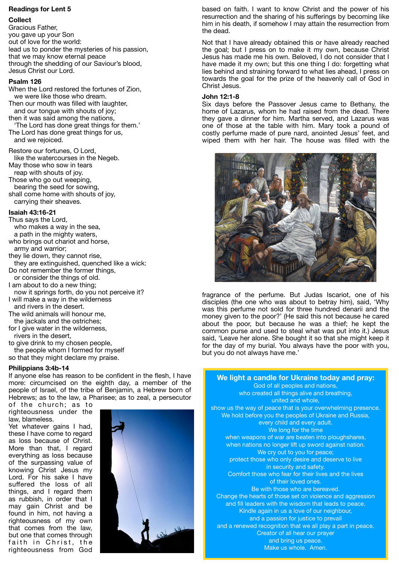#### **Readings for Lent 5**

#### **Collect**

Gracious Father, you gave up your Son out of love for the world: lead us to ponder the mysteries of his passion, that we may know eternal peace through the shedding of our Saviour's blood, Jesus Christ our Lord.

### **Psalm 126**

When the Lord restored the fortunes of Zion, we were like those who dream. Then our mouth was filled with laughter,

and our tongue with shouts of joy;

then it was said among the nations, 'The Lord has done great things for them.'

The Lord has done great things for us, and we rejoiced.

Restore our fortunes, O Lord, like the watercourses in the Negeb. May those who sow in tears

 reap with shouts of joy. Those who go out weeping, bearing the seed for sowing, shall come home with shouts of joy, carrying their sheaves.

### **Isaiah 43:16-21**

Thus says the Lord,

who makes a way in the sea,

- a path in the mighty waters,
- who brings out chariot and horse, army and warrior;

they lie down, they cannot rise,

 they are extinguished, quenched like a wick: Do not remember the former things,

or consider the things of old.

I am about to do a new thing; now it springs forth, do you not perceive it? I will make a way in the wilderness

and rivers in the desert.

The wild animals will honour me, the jackals and the ostriches;

for I give water in the wilderness,

rivers in the desert,

to give drink to my chosen people, the people whom I formed for myself so that they might declare my praise.

### **Philippians 3:4b-14**

If anyone else has reason to be confident in the flesh, I have more: circumcised on the eighth day, a member of the people of Israel, of the tribe of Benjamin, a Hebrew born of Hebrews; as to the law, a Pharisee; as to zeal, a persecutor

of the church; as to righteousness under the law, blameless.

Yet whatever gains I had, these I have come to regard as loss because of Christ. More than that, I regard everything as loss because of the surpassing value of knowing Christ Jesus my Lord. For his sake I have suffered the loss of all things, and I regard them as rubbish, in order that I may gain Christ and be found in him, not having a righteousness of my own that comes from the law, but one that comes through faith in Christ, the righteousness from God



based on faith. I want to know Christ and the power of his resurrection and the sharing of his sufferings by becoming like him in his death, if somehow I may attain the resurrection from the dead.

Not that I have already obtained this or have already reached the goal; but I press on to make it my own, because Christ Jesus has made me his own. Beloved, I do not consider that I have made it my own; but this one thing I do: forgetting what lies behind and straining forward to what lies ahead, I press on towards the goal for the prize of the heavenly call of God in Christ Jesus.

### **John 12:1-8**

Six days before the Passover Jesus came to Bethany, the home of Lazarus, whom he had raised from the dead. There they gave a dinner for him. Martha served, and Lazarus was one of those at the table with him. Mary took a pound of costly perfume made of pure nard, anointed Jesus' feet, and wiped them with her hair. The house was filled with the



fragrance of the perfume. But Judas Iscariot, one of his disciples (the one who was about to betray him), said, 'Why was this perfume not sold for three hundred denarii and the money given to the poor?' (He said this not because he cared about the poor, but because he was a thief; he kept the common purse and used to steal what was put into it.) Jesus said, 'Leave her alone. She bought it so that she might keep it for the day of my burial. You always have the poor with you, but you do not always have me.'